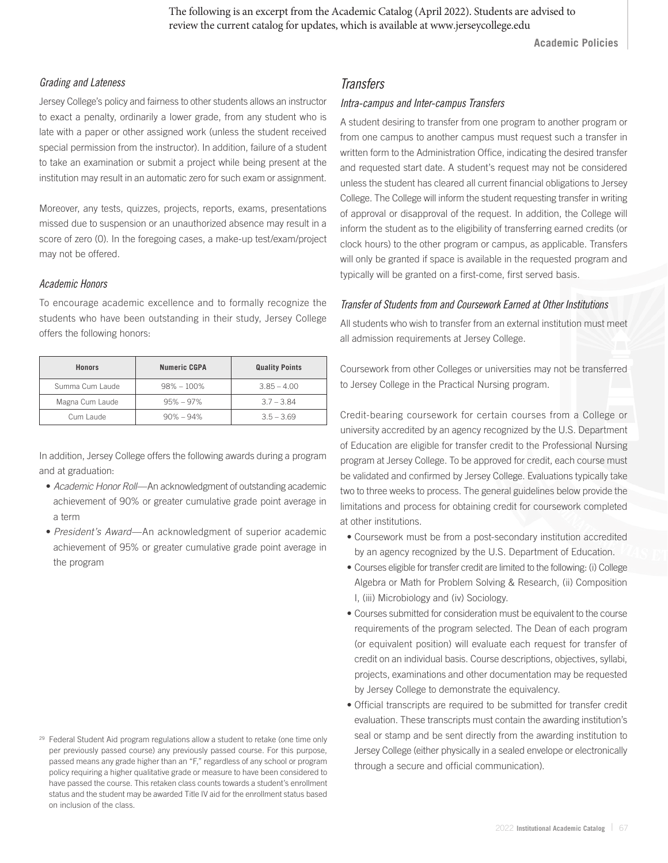The following is an excerpt from the Academic Catalog (April 2022). Students are advised to review the current catalog for updates, which is available at www.jerseycollege.edu

**Academic Policies**

#### Grading and Lateness

Jersey College's policy and fairness to other students allows an instructor to exact a penalty, ordinarily a lower grade, from any student who is late with a paper or other assigned work (unless the student received special permission from the instructor). In addition, failure of a student to take an examination or submit a project while being present at the institution may result in an automatic zero for such exam or assignment.

Moreover, any tests, quizzes, projects, reports, exams, presentations missed due to suspension or an unauthorized absence may result in a score of zero (0). In the foregoing cases, a make-up test/exam/project may not be offered.

#### Academic Honors

To encourage academic excellence and to formally recognize the students who have been outstanding in their study, Jersey College offers the following honors:

| <b>Honors</b>   | <b>Numeric CGPA</b> | <b>Quality Points</b> |
|-----------------|---------------------|-----------------------|
| Summa Cum Laude | $98\% - 100\%$      | $3.85 - 4.00$         |
| Magna Cum Laude | $95\% - 97\%$       | $3.7 - 3.84$          |
| Cum Laude       | $90\% - 94\%$       | $3.5 - 3.69$          |

In addition, Jersey College offers the following awards during a program and at graduation:

- Academic Honor Roll—An acknowledgment of outstanding academic achievement of 90% or greater cumulative grade point average in a term
- President's Award—An acknowledgment of superior academic achievement of 95% or greater cumulative grade point average in the program

 $29$  Federal Student Aid program regulations allow a student to retake (one time only per previously passed course) any previously passed course. For this purpose, passed means any grade higher than an "F," regardless of any school or program policy requiring a higher qualitative grade or measure to have been considered to have passed the course. This retaken class counts towards a student's enrollment status and the student may be awarded Title IV aid for the enrollment status based on inclusion of the class.

### **Transfers**

#### Intra-campus and Inter-campus Transfers

A student desiring to transfer from one program to another program or from one campus to another campus must request such a transfer in written form to the Administration Office, indicating the desired transfer and requested start date. A student's request may not be considered unless the student has cleared all current financial obligations to Jersey College. The College will inform the student requesting transfer in writing of approval or disapproval of the request. In addition, the College will inform the student as to the eligibility of transferring earned credits (or clock hours) to the other program or campus, as applicable. Transfers will only be granted if space is available in the requested program and typically will be granted on a first-come, first served basis.

### Transfer of Students from and Coursework Earned at Other Institutions

All students who wish to transfer from an external institution must meet all admission requirements at Jersey College.

Coursework from other Colleges or universities may not be transferred to Jersey College in the Practical Nursing program.

Credit-bearing coursework for certain courses from a College or university accredited by an agency recognized by the U.S. Department of Education are eligible for transfer credit to the Professional Nursing program at Jersey College. To be approved for credit, each course must be validated and confirmed by Jersey College. Evaluations typically take two to three weeks to process. The general guidelines below provide the limitations and process for obtaining credit for coursework completed at other institutions.

- Coursework must be from a post-secondary institution accredited by an agency recognized by the U.S. Department of Education.
- Courses eligible for transfer credit are limited to the following: (i) College Algebra or Math for Problem Solving & Research, (ii) Composition I, (iii) Microbiology and (iv) Sociology.
- Courses submitted for consideration must be equivalent to the course requirements of the program selected. The Dean of each program (or equivalent position) will evaluate each request for transfer of credit on an individual basis. Course descriptions, objectives, syllabi, projects, examinations and other documentation may be requested by Jersey College to demonstrate the equivalency.
- Official transcripts are required to be submitted for transfer credit evaluation. These transcripts must contain the awarding institution's seal or stamp and be sent directly from the awarding institution to Jersey College (either physically in a sealed envelope or electronically through a secure and official communication).